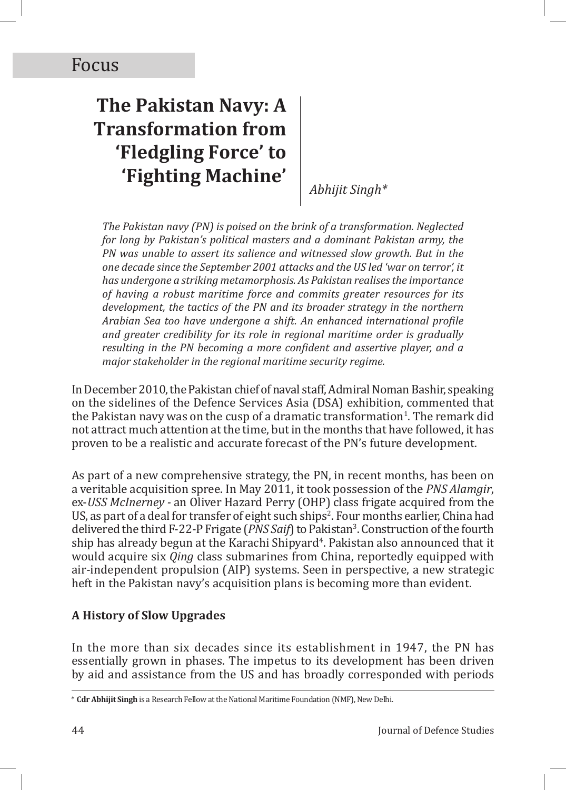# **The Pakistan Navy: A Transformation from 'Fledgling Force' to 'Fighting Machine'**

*Abhijit Singh\**

*The Pakistan navy (PN) is poised on the brink of a transformation. Neglected for long by Pakistan's political masters and a dominant Pakistan army, the PN was unable to assert its salience and witnessed slow growth. But in the one decade since the September 2001 attacks and the US led 'war on terror', it has undergone a striking metamorphosis. As Pakistan realises the importance of having a robust maritime force and commits greater resources for its development, the tactics of the PN and its broader strategy in the northern Arabian Sea too have undergone a shift. An enhanced international profile and greater credibility for its role in regional maritime order is gradually resulting in the PN becoming a more confident and assertive player, and a major stakeholder in the regional maritime security regime.*

In December 2010, the Pakistan chief of naval staff, Admiral Noman Bashir, speaking on the sidelines of the Defence Services Asia (DSA) exhibition, commented that the Pakistan navy was on the cusp of a dramatic transformation<sup>1</sup>. The remark did not attract much attention at the time, but in the months that have followed, it has proven to be a realistic and accurate forecast of the PN's future development.

As part of a new comprehensive strategy, the PN, in recent months, has been on a veritable acquisition spree. In May 2011, it took possession of the *PNS Alamgir*, ex-*USS McInerney -* an Oliver Hazard Perry (OHP) class frigate acquired from the US, as part of a deal for transfer of eight such ships<sup>2</sup>. Four months earlier, China had delivered the third F-22-P Frigate (*PNS Saif*) to Pakistan<sup>3</sup> . Construction of the fourth ship has already begun at the Karachi Shipyard<sup>4</sup>. Pakistan also announced that it would acquire six *Qing* class submarines from China, reportedly equipped with air-independent propulsion (AIP) systems. Seen in perspective, a new strategic heft in the Pakistan navy's acquisition plans is becoming more than evident.

## **A History of Slow Upgrades**

In the more than six decades since its establishment in 1947, the PN has essentially grown in phases. The impetus to its development has been driven by aid and assistance from the US and has broadly corresponded with periods

<sup>\*</sup> **Cdr Abhijit Singh** is a Research Fellow at the National Maritime Foundation (NMF), New Delhi.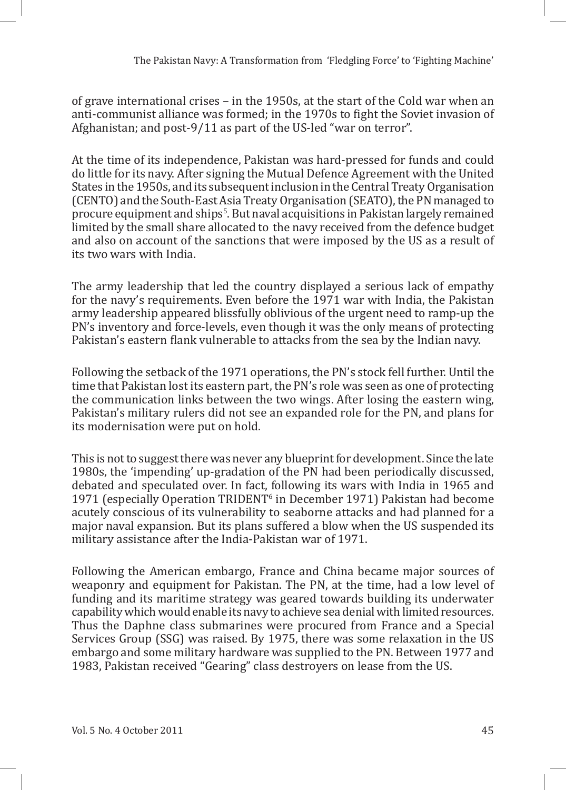of grave international crises – in the 1950s, at the start of the Cold war when an anti-communist alliance was formed; in the 1970s to fight the Soviet invasion of Afghanistan; and post-9/11 as part of the US-led "war on terror".

At the time of its independence, Pakistan was hard-pressed for funds and could do little for its navy. After signing the Mutual Defence Agreement with the United States in the 1950s, and its subsequent inclusion in the Central Treaty Organisation (CENTO) and the South-East Asia Treaty Organisation (SEATO), the PN managed to procure equipment and ships<sup>5</sup>. But naval acquisitions in Pakistan largely remained limited by the small share allocated to the navy received from the defence budget and also on account of the sanctions that were imposed by the US as a result of its two wars with India.

The army leadership that led the country displayed a serious lack of empathy for the navy's requirements. Even before the 1971 war with India, the Pakistan army leadership appeared blissfully oblivious of the urgent need to ramp-up the PN's inventory and force-levels, even though it was the only means of protecting Pakistan's eastern flank vulnerable to attacks from the sea by the Indian navy.

Following the setback of the 1971 operations, the PN's stock fell further. Until the time that Pakistan lost its eastern part, the PN's role was seen as one of protecting the communication links between the two wings. After losing the eastern wing, Pakistan's military rulers did not see an expanded role for the PN, and plans for its modernisation were put on hold.

This is not to suggest there was never any blueprint for development. Since the late 1980s, the 'impending' up-gradation of the PN had been periodically discussed, debated and speculated over. In fact, following its wars with India in 1965 and 1971 (especially Operation TRIDENT<sup>6</sup> in December 1971) Pakistan had become acutely conscious of its vulnerability to seaborne attacks and had planned for a major naval expansion. But its plans suffered a blow when the US suspended its military assistance after the India-Pakistan war of 1971.

Following the American embargo, France and China became major sources of weaponry and equipment for Pakistan. The PN, at the time, had a low level of funding and its maritime strategy was geared towards building its underwater capability which would enable its navy to achieve sea denial with limited resources. Thus the Daphne class submarines were procured from France and a Special Services Group (SSG) was raised. By 1975, there was some relaxation in the US embargo and some military hardware was supplied to the PN. Between 1977 and 1983, Pakistan received "Gearing" class destroyers on lease from the US.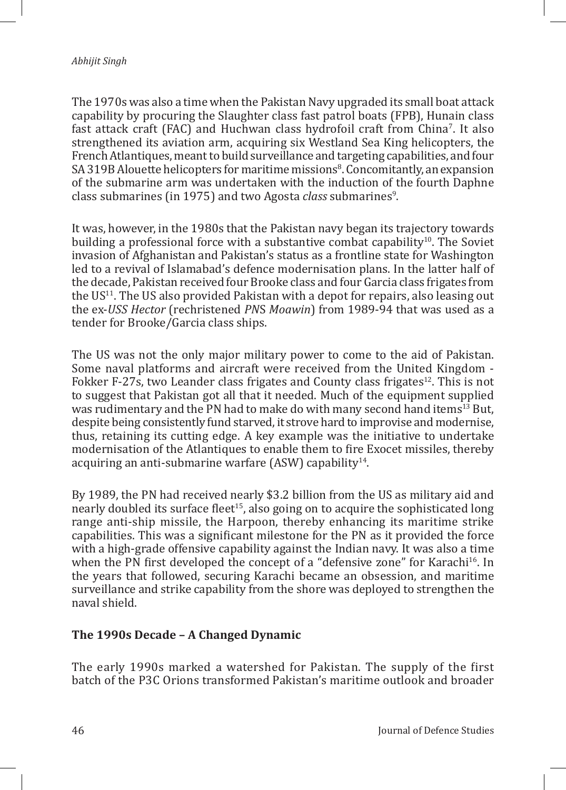The 1970s was also a time when the Pakistan Navy upgraded its small boat attack capability by procuring the Slaughter class fast patrol boats (FPB), Hunain class fast attack craft (FAC) and Huchwan class hydrofoil craft from China'. It also strengthened its aviation arm, acquiring six Westland Sea King helicopters, the French Atlantiques, meant to build surveillance and targeting capabilities, and four SA 319B Alouette helicopters for maritime missions<sup>8</sup>. Concomitantly, an expansion of the submarine arm was undertaken with the induction of the fourth Daphne class submarines (in 1975) and two Agosta *class* submarines<sup>9</sup>.

It was, however, in the 1980s that the Pakistan navy began its trajectory towards building a professional force with a substantive combat capability<sup>10</sup>. The Soviet invasion of Afghanistan and Pakistan's status as a frontline state for Washington led to a revival of Islamabad's defence modernisation plans. In the latter half of the decade, Pakistan received four Brooke class and four Garcia class frigates from the  $US<sup>11</sup>$ . The US also provided Pakistan with a depot for repairs, also leasing out the ex-*USS Hector* (rechristened *PN*S *Moawin*) from 1989-94 that was used as a tender for Brooke/Garcia class ships.

The US was not the only major military power to come to the aid of Pakistan. Some naval platforms and aircraft were received from the United Kingdom - Fokker F-27s, two Leander class frigates and County class frigates<sup>12</sup>. This is not to suggest that Pakistan got all that it needed. Much of the equipment supplied was rudimentary and the PN had to make do with many second hand items<sup>13</sup> But, despite being consistently fund starved, it strove hard to improvise and modernise, thus, retaining its cutting edge. A key example was the initiative to undertake modernisation of the Atlantiques to enable them to fire Exocet missiles, thereby acquiring an anti-submarine warfare  $(ASW)$  capability<sup>14</sup>.

By 1989, the PN had received nearly \$3.2 billion from the US as military aid and nearly doubled its surface fleet<sup>15</sup>, also going on to acquire the sophisticated long range anti-ship missile, the Harpoon, thereby enhancing its maritime strike capabilities. This was a significant milestone for the PN as it provided the force with a high-grade offensive capability against the Indian navy. It was also a time when the PN first developed the concept of a "defensive zone" for Karachi<sup>16</sup>. In the years that followed, securing Karachi became an obsession, and maritime surveillance and strike capability from the shore was deployed to strengthen the naval shield.

#### **The 1990s Decade – A Changed Dynamic**

The early 1990s marked a watershed for Pakistan. The supply of the first batch of the P3C Orions transformed Pakistan's maritime outlook and broader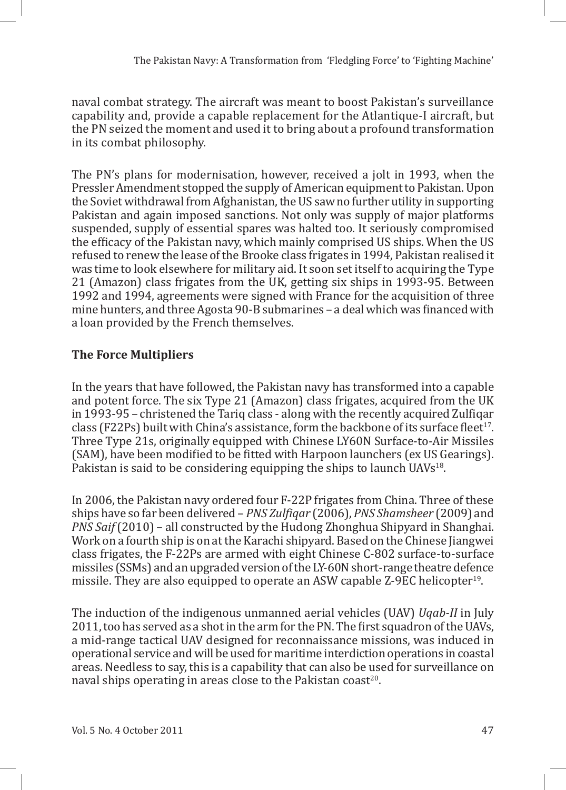naval combat strategy. The aircraft was meant to boost Pakistan's surveillance capability and, provide a capable replacement for the Atlantique-I aircraft, but the PN seized the moment and used it to bring about a profound transformation in its combat philosophy.

The PN's plans for modernisation, however, received a jolt in 1993, when the Pressler Amendment stopped the supply of American equipment to Pakistan. Upon the Soviet withdrawal from Afghanistan, the US saw no further utility in supporting Pakistan and again imposed sanctions. Not only was supply of major platforms suspended, supply of essential spares was halted too. It seriously compromised the efficacy of the Pakistan navy, which mainly comprised US ships. When the US refused to renew the lease of the Brooke class frigates in 1994, Pakistan realised it was time to look elsewhere for military aid. It soon set itself to acquiring the Type 21 (Amazon) class frigates from the UK, getting six ships in 1993-95. Between 1992 and 1994, agreements were signed with France for the acquisition of three mine hunters, and three Agosta 90-B submarines – a deal which was financed with a loan provided by the French themselves.

# **The Force Multipliers**

In the years that have followed, the Pakistan navy has transformed into a capable and potent force. The six Type 21 (Amazon) class frigates, acquired from the UK in 1993-95 – christened the Tariq class - along with the recently acquired Zulfiqar class (F22Ps) built with China's assistance, form the backbone of its surface fleet<sup>17</sup>. Three Type 21s, originally equipped with Chinese LY60N Surface-to-Air Missiles (SAM), have been modified to be fitted with Harpoon launchers (ex US Gearings). Pakistan is said to be considering equipping the ships to launch  $UAVs^{18}$ .

In 2006, the Pakistan navy ordered four F-22P frigates from China. Three of these ships have so far been delivered – *PNS Zulfiqar* (2006), *PNS Shamsheer* (2009) and *PNS Saif* (2010) – all constructed by the Hudong Zhonghua Shipyard in Shanghai. Work on a fourth ship is on at the Karachi shipyard. Based on the Chinese Jiangwei class frigates, the F-22Ps are armed with eight Chinese C-802 surface-to-surface missiles (SSMs) and an upgraded version of the LY-60N short-range theatre defence missile. They are also equipped to operate an ASW capable Z-9EC helicopter<sup>19</sup>.

The induction of the indigenous unmanned aerial vehicles (UAV) *Uqab-II* in July 2011, too has served as a shot in the arm for the PN. The first squadron of the UAVs, a mid-range tactical UAV designed for reconnaissance missions, was induced in operational service and will be used for maritime interdiction operations in coastal areas. Needless to say, this is a capability that can also be used for surveillance on naval ships operating in areas close to the Pakistan coast<sup>20</sup>.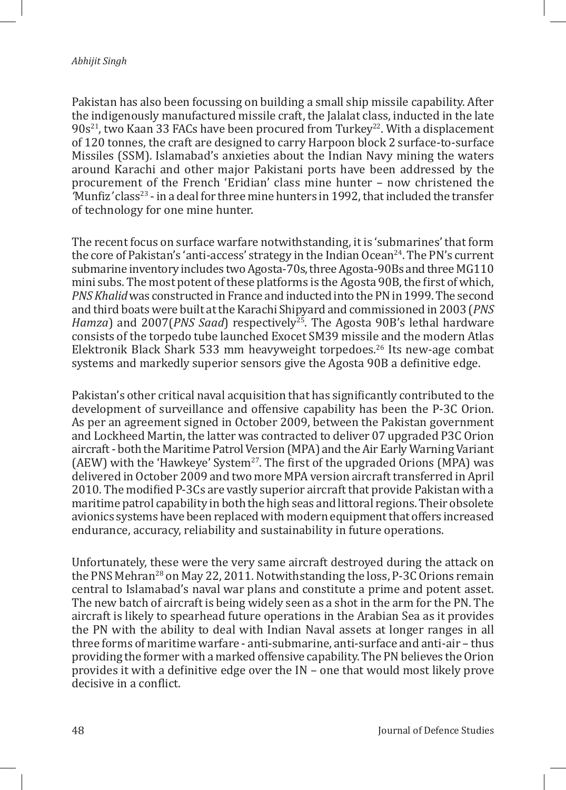Pakistan has also been focussing on building a small ship missile capability. After the indigenously manufactured missile craft, the Jalalat class, inducted in the late  $90s<sup>21</sup>$ , two Kaan 33 FACs have been procured from Turkey<sup>22</sup>. With a displacement of 120 tonnes, the craft are designed to carry Harpoon block 2 surface-to-surface Missiles (SSM). Islamabad's anxieties about the Indian Navy mining the waters around Karachi and other major Pakistani ports have been addressed by the procurement of the French 'Eridian' class mine hunter – now christened the *'*Munfiz*'* class23 - in a deal for three mine hunters in 1992, that included the transfer of technology for one mine hunter.

The recent focus on surface warfare notwithstanding, it is 'submarines' that form the core of Pakistan's 'anti-access' strategy in the Indian Ocean<sup>24</sup>. The PN's current submarine inventory includes two Agosta-70s, three Agosta-90Bs and three MG110 mini subs. The most potent of these platforms is the Agosta 90B, the first of which, *PNS Khalid* was constructed in France and inducted into the PN in 1999. The second and third boats were built at the Karachi Shipyard and commissioned in 2003 (*PNS Hamza*) and 2007(*PNS Saad*) respectively<sup>25</sup>. The Agosta 90B's lethal hardware consists of the torpedo tube launched Exocet SM39 missile and the modern Atlas Elektronik Black Shark 533 mm heavyweight torpedoes.<sup>26</sup> Its new-age combat systems and markedly superior sensors give the Agosta 90B a definitive edge.

Pakistan's other critical naval acquisition that has significantly contributed to the development of surveillance and offensive capability has been the P-3C Orion. As per an agreement signed in October 2009, between the Pakistan government and Lockheed Martin, the latter was contracted to deliver 07 upgraded P3C Orion aircraft - both the Maritime Patrol Version (MPA) and the Air Early Warning Variant (AEW) with the 'Hawkeye' System<sup>27</sup>. The first of the upgraded Orions (MPA) was delivered in October 2009 and two more MPA version aircraft transferred in April 2010. The modified P-3Cs are vastly superior aircraft that provide Pakistan with a maritime patrol capability in both the high seas and littoral regions. Their obsolete avionics systems have been replaced with modern equipment that offers increased endurance, accuracy, reliability and sustainability in future operations.

Unfortunately, these were the very same aircraft destroyed during the attack on the PNS Mehran<sup>28</sup> on May 22, 2011. Notwithstanding the loss, P-3C Orions remain central to Islamabad's naval war plans and constitute a prime and potent asset. The new batch of aircraft is being widely seen as a shot in the arm for the PN. The aircraft is likely to spearhead future operations in the Arabian Sea as it provides the PN with the ability to deal with Indian Naval assets at longer ranges in all three forms of maritime warfare - anti-submarine, anti-surface and anti-air – thus providing the former with a marked offensive capability. The PN believes the Orion provides it with a definitive edge over the IN – one that would most likely prove decisive in a conflict.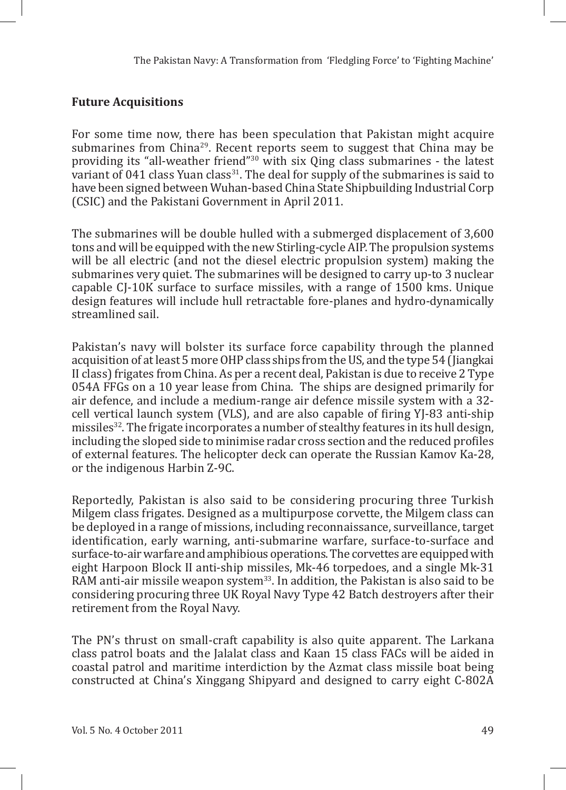## **Future Acquisitions**

For some time now, there has been speculation that Pakistan might acquire submarines from China<sup>29</sup>. Recent reports seem to suggest that China may be providing its "all-weather friend"<sup>30</sup> with six Qing class submarines - the latest variant of 041 class Yuan class<sup>31</sup>. The deal for supply of the submarines is said to have been signed between Wuhan-based China State Shipbuilding Industrial Corp (CSIC) and the Pakistani Government in April 2011.

The submarines will be double hulled with a submerged displacement of 3,600 tons and will be equipped with the new Stirling-cycle AIP. The propulsion systems will be all electric (and not the diesel electric propulsion system) making the submarines very quiet. The submarines will be designed to carry up-to 3 nuclear capable CJ-10K surface to surface missiles, with a range of 1500 kms. Unique design features will include hull retractable fore-planes and hydro-dynamically streamlined sail.

Pakistan's navy will bolster its surface force capability through the planned acquisition of at least 5 more OHP class ships from the US, and the type 54 (Jiangkai II class) frigates from China. As per a recent deal, Pakistan is due to receive 2 Type 054A FFGs on a 10 year lease from China. The ships are designed primarily for air defence, and include a medium-range air defence missile system with a 32 cell vertical launch system (VLS), and are also capable of firing YJ-83 anti-ship missiles<sup>32</sup>. The frigate incorporates a number of stealthy features in its hull design, including the sloped side to minimise radar cross section and the reduced profiles of external features. The helicopter deck can operate the Russian Kamov Ka-28, or the indigenous Harbin Z-9C.

Reportedly, Pakistan is also said to be considering procuring three Turkish Milgem class frigates. Designed as a multipurpose corvette, the Milgem class can be deployed in a range of missions, including reconnaissance, surveillance, target identification, early warning, anti-submarine warfare, surface-to-surface and surface-to-air warfare and amphibious operations. The corvettes are equipped with eight Harpoon Block II anti-ship missiles, Mk-46 torpedoes, and a single Mk-31 RAM anti-air missile weapon system<sup>33</sup>. In addition, the Pakistan is also said to be considering procuring three UK Royal Navy Type 42 Batch destroyers after their retirement from the Royal Navy.

The PN's thrust on small-craft capability is also quite apparent. The Larkana class patrol boats and the Jalalat class and Kaan 15 class FACs will be aided in coastal patrol and maritime interdiction by the Azmat class missile boat being constructed at China's Xinggang Shipyard and designed to carry eight C-802A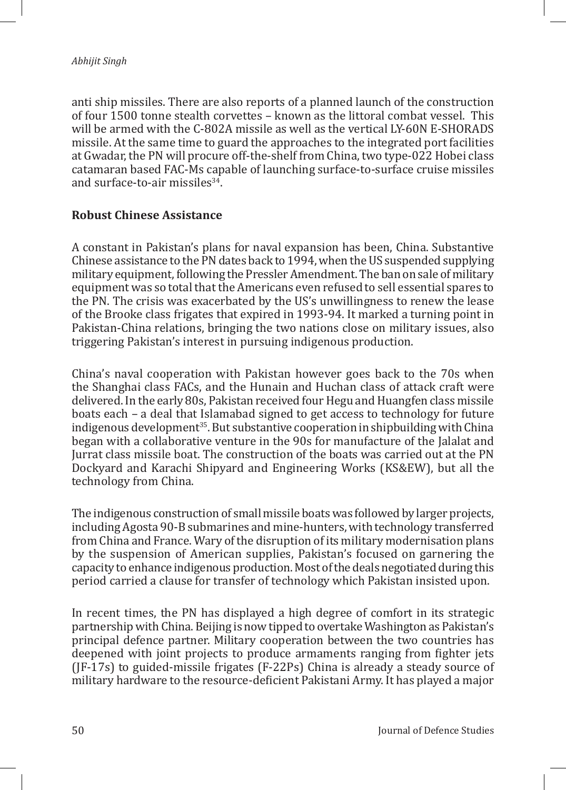anti ship missiles. There are also reports of a planned launch of the construction of four 1500 tonne stealth corvettes – known as the littoral combat vessel. This will be armed with the C-802A missile as well as the vertical LY-60N E-SHORADS missile. At the same time to guard the approaches to the integrated port facilities at Gwadar, the PN will procure off-the-shelf from China, two type-022 Hobei class catamaran based FAC-Ms capable of launching surface-to-surface cruise missiles and surface-to-air missiles $34$ .

### **Robust Chinese Assistance**

A constant in Pakistan's plans for naval expansion has been, China. Substantive Chinese assistance to the PN dates back to 1994, when the US suspended supplying military equipment, following the Pressler Amendment. The ban on sale of military equipment was so total that the Americans even refused to sell essential spares to the PN. The crisis was exacerbated by the US's unwillingness to renew the lease of the Brooke class frigates that expired in 1993-94. It marked a turning point in Pakistan-China relations, bringing the two nations close on military issues, also triggering Pakistan's interest in pursuing indigenous production.

China's naval cooperation with Pakistan however goes back to the 70s when the Shanghai class FACs, and the Hunain and Huchan class of attack craft were delivered. In the early 80s, Pakistan received four Hegu and Huangfen class missile boats each – a deal that Islamabad signed to get access to technology for future indigenous development<sup>35</sup>. But substantive cooperation in shipbuilding with China began with a collaborative venture in the 90s for manufacture of the Jalalat and Jurrat class missile boat. The construction of the boats was carried out at the PN Dockyard and Karachi Shipyard and Engineering Works (KS&EW), but all the technology from China.

The indigenous construction of small missile boats was followed by larger projects, including Agosta 90-B submarines and mine-hunters, with technology transferred from China and France. Wary of the disruption of its military modernisation plans by the suspension of American supplies, Pakistan's focused on garnering the capacity to enhance indigenous production. Most of the deals negotiated during this period carried a clause for transfer of technology which Pakistan insisted upon.

In recent times, the PN has displayed a high degree of comfort in its strategic partnership with China. Beijing is now tipped to overtake Washington as Pakistan's principal defence partner. Military cooperation between the two countries has deepened with joint projects to produce armaments ranging from fighter jets (JF-17s) to guided-missile frigates (F-22Ps) China is already a steady source of military hardware to the resource-deficient Pakistani Army. It has played a major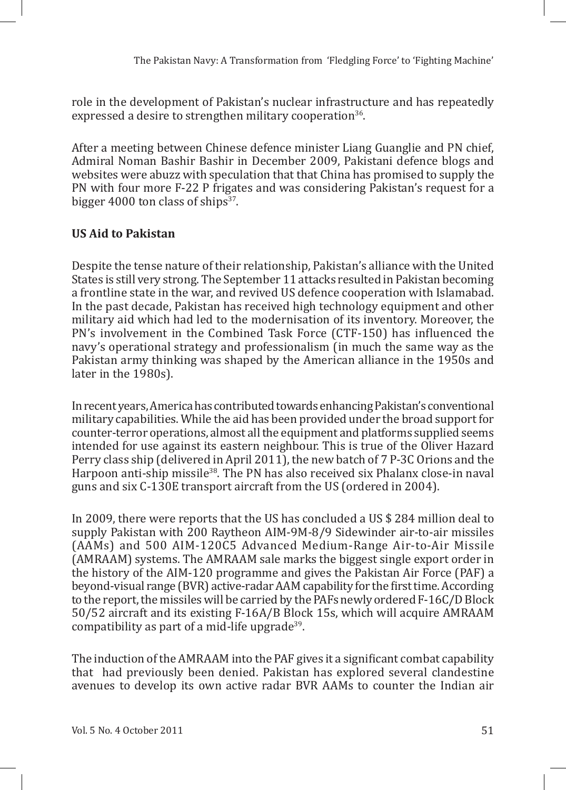role in the development of Pakistan's nuclear infrastructure and has repeatedly expressed a desire to strengthen military cooperation<sup>36</sup>.

After a meeting between Chinese defence minister Liang Guanglie and PN chief, Admiral Noman Bashir Bashir in December 2009, Pakistani defence blogs and websites were abuzz with speculation that that China has promised to supply the PN with four more F-22 P frigates and was considering Pakistan's request for a bigger 4000 ton class of ships $37$ .

# **US Aid to Pakistan**

Despite the tense nature of their relationship, Pakistan's alliance with the United States is still very strong. The September 11 attacks resulted in Pakistan becoming a frontline state in the war, and revived US defence cooperation with Islamabad. In the past decade, Pakistan has received high technology equipment and other military aid which had led to the modernisation of its inventory. Moreover, the PN's involvement in the Combined Task Force (CTF-150) has influenced the navy's operational strategy and professionalism (in much the same way as the Pakistan army thinking was shaped by the American alliance in the 1950s and later in the 1980s).

In recent years, America has contributed towards enhancing Pakistan's conventional military capabilities. While the aid has been provided under the broad support for counter-terror operations, almost all the equipment and platforms supplied seems intended for use against its eastern neighbour. This is true of the Oliver Hazard Perry class ship (delivered in April 2011), the new batch of 7 P-3C Orions and the Harpoon anti-ship missile<sup>38</sup>. The PN has also received six Phalanx close-in naval guns and six C-130E transport aircraft from the US (ordered in 2004).

In 2009, there were reports that the US has concluded a US \$ 284 million deal to supply Pakistan with 200 Raytheon AIM-9M-8/9 Sidewinder air-to-air missiles (AAMs) and 500 AIM-120C5 Advanced Medium-Range Air-to-Air Missile (AMRAAM) systems. The AMRAAM sale marks the biggest single export order in the history of the AIM-120 programme and gives the Pakistan Air Force (PAF) a beyond-visual range (BVR) active-radar AAM capability for the first time. According to the report, the missiles will be carried by the PAFs newly ordered F-16C/D Block 50/52 aircraft and its existing F-16A/B Block 15s, which will acquire AMRAAM compatibility as part of a mid-life upgrade<sup>39</sup>.

The induction of the AMRAAM into the PAF gives it a significant combat capability that had previously been denied. Pakistan has explored several clandestine avenues to develop its own active radar BVR AAMs to counter the Indian air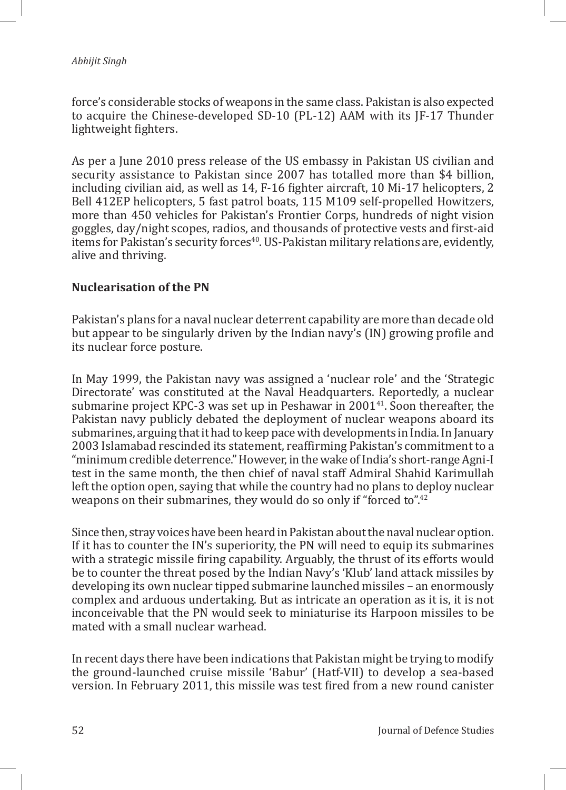force's considerable stocks of weapons in the same class. Pakistan is also expected to acquire the Chinese-developed SD-10 (PL-12) AAM with its JF-17 Thunder lightweight fighters.

As per a June 2010 press release of the US embassy in Pakistan US civilian and security assistance to Pakistan since 2007 has totalled more than \$4 billion, including civilian aid, as well as 14, F-16 fighter aircraft, 10 Mi-17 helicopters, 2 Bell 412EP helicopters, 5 fast patrol boats, 115 M109 self-propelled Howitzers, more than 450 vehicles for Pakistan's Frontier Corps, hundreds of night vision goggles, day/night scopes, radios, and thousands of protective vests and first-aid items for Pakistan's security forces<sup>40</sup>. US-Pakistan military relations are, evidently, alive and thriving.

#### **Nuclearisation of the PN**

Pakistan's plans for a naval nuclear deterrent capability are more than decade old but appear to be singularly driven by the Indian navy's (IN) growing profile and its nuclear force posture.

In May 1999, the Pakistan navy was assigned a 'nuclear role' and the 'Strategic Directorate' was constituted at the Naval Headquarters. Reportedly, a nuclear submarine project KPC-3 was set up in Peshawar in 2001<sup>41</sup>. Soon thereafter, the Pakistan navy publicly debated the deployment of nuclear weapons aboard its submarines, arguing that it had to keep pace with developments in India. In January 2003 Islamabad rescinded its statement, reaffirming Pakistan's commitment to a "minimum credible deterrence." However, in the wake of India's short-range Agni-I test in the same month, the then chief of naval staff Admiral Shahid Karimullah left the option open, saying that while the country had no plans to deploy nuclear weapons on their submarines, they would do so only if "forced to".<sup>42</sup>

Since then, stray voices have been heard in Pakistan about the naval nuclear option. If it has to counter the IN's superiority, the PN will need to equip its submarines with a strategic missile firing capability. Arguably, the thrust of its efforts would be to counter the threat posed by the Indian Navy's 'Klub' land attack missiles by developing its own nuclear tipped submarine launched missiles – an enormously complex and arduous undertaking. But as intricate an operation as it is, it is not inconceivable that the PN would seek to miniaturise its Harpoon missiles to be mated with a small nuclear warhead.

In recent days there have been indications that Pakistan might be trying to modify the ground-launched cruise missile 'Babur' (Hatf-VII) to develop a sea-based version. In February 2011, this missile was test fired from a new round canister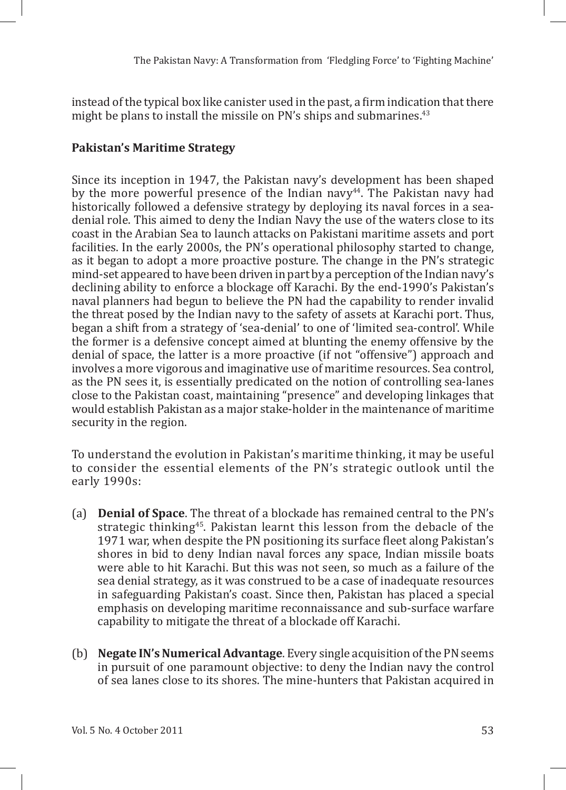instead of the typical box like canister used in the past, a firm indication that there might be plans to install the missile on PN's ships and submarines.<sup>43</sup>

# **Pakistan's Maritime Strategy**

Since its inception in 1947, the Pakistan navy's development has been shaped by the more powerful presence of the Indian navy<sup>44</sup>. The Pakistan navy had historically followed a defensive strategy by deploying its naval forces in a seadenial role. This aimed to deny the Indian Navy the use of the waters close to its coast in the Arabian Sea to launch attacks on Pakistani maritime assets and port facilities. In the early 2000s, the PN's operational philosophy started to change, as it began to adopt a more proactive posture. The change in the PN's strategic mind-set appeared to have been driven in part by a perception of the Indian navy's declining ability to enforce a blockage off Karachi. By the end-1990's Pakistan's naval planners had begun to believe the PN had the capability to render invalid the threat posed by the Indian navy to the safety of assets at Karachi port. Thus, began a shift from a strategy of 'sea-denial' to one of 'limited sea-control'. While the former is a defensive concept aimed at blunting the enemy offensive by the denial of space, the latter is a more proactive (if not "offensive") approach and involves a more vigorous and imaginative use of maritime resources. Sea control, as the PN sees it, is essentially predicated on the notion of controlling sea-lanes close to the Pakistan coast, maintaining "presence" and developing linkages that would establish Pakistan as a major stake-holder in the maintenance of maritime security in the region.

To understand the evolution in Pakistan's maritime thinking, it may be useful to consider the essential elements of the PN's strategic outlook until the early 1990s:

- (a) **Denial of Space**. The threat of a blockade has remained central to the PN's strategic thinking<sup>45</sup>. Pakistan learnt this lesson from the debacle of the 1971 war, when despite the PN positioning its surface fleet along Pakistan's shores in bid to deny Indian naval forces any space, Indian missile boats were able to hit Karachi. But this was not seen, so much as a failure of the sea denial strategy, as it was construed to be a case of inadequate resources in safeguarding Pakistan's coast. Since then, Pakistan has placed a special emphasis on developing maritime reconnaissance and sub-surface warfare capability to mitigate the threat of a blockade off Karachi.
- (b) **Negate IN's Numerical Advantage**. Every single acquisition of the PN seems in pursuit of one paramount objective: to deny the Indian navy the control of sea lanes close to its shores. The mine-hunters that Pakistan acquired in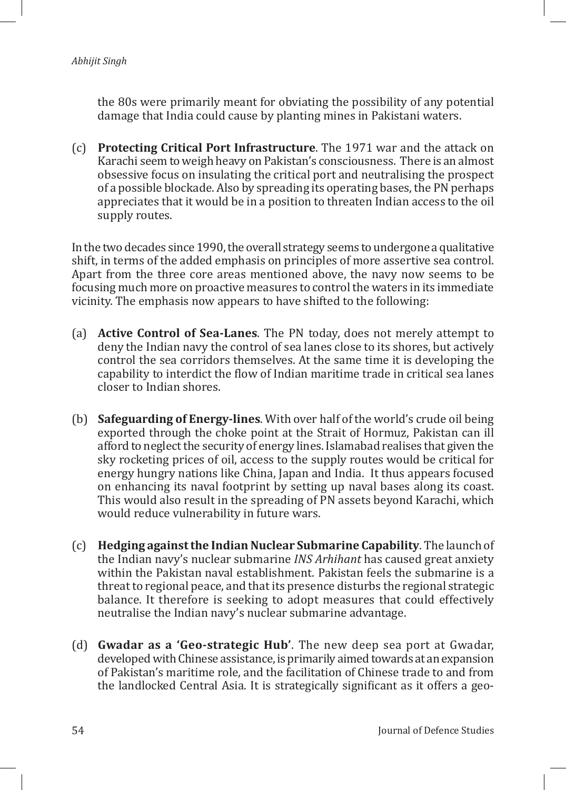the 80s were primarily meant for obviating the possibility of any potential damage that India could cause by planting mines in Pakistani waters.

(c) **Protecting Critical Port Infrastructure**. The 1971 war and the attack on Karachi seem to weigh heavy on Pakistan's consciousness. There is an almost obsessive focus on insulating the critical port and neutralising the prospect of a possible blockade. Also by spreading its operating bases, the PN perhaps appreciates that it would be in a position to threaten Indian access to the oil supply routes.

In the two decades since 1990, the overall strategy seems to undergone a qualitative shift, in terms of the added emphasis on principles of more assertive sea control. Apart from the three core areas mentioned above, the navy now seems to be focusing much more on proactive measures to control the waters in its immediate vicinity. The emphasis now appears to have shifted to the following:

- (a) **Active Control of Sea-Lanes**. The PN today, does not merely attempt to deny the Indian navy the control of sea lanes close to its shores, but actively control the sea corridors themselves. At the same time it is developing the capability to interdict the flow of Indian maritime trade in critical sea lanes closer to Indian shores.
- (b) **Safeguarding of Energy-lines**. With over half of the world's crude oil being exported through the choke point at the Strait of Hormuz, Pakistan can ill afford to neglect the security of energy lines. Islamabad realises that given the sky rocketing prices of oil, access to the supply routes would be critical for energy hungry nations like China, Japan and India. It thus appears focused on enhancing its naval footprint by setting up naval bases along its coast. This would also result in the spreading of PN assets beyond Karachi, which would reduce vulnerability in future wars.
- (c) **Hedging against the Indian Nuclear Submarine Capability**. The launch of the Indian navy's nuclear submarine *INS Arhihant* has caused great anxiety within the Pakistan naval establishment. Pakistan feels the submarine is a threat to regional peace, and that its presence disturbs the regional strategic balance. It therefore is seeking to adopt measures that could effectively neutralise the Indian navy's nuclear submarine advantage.
- (d) **Gwadar as a 'Geo-strategic Hub'**. The new deep sea port at Gwadar, developed with Chinese assistance, is primarily aimed towards at an expansion of Pakistan's maritime role, and the facilitation of Chinese trade to and from the landlocked Central Asia. It is strategically significant as it offers a geo-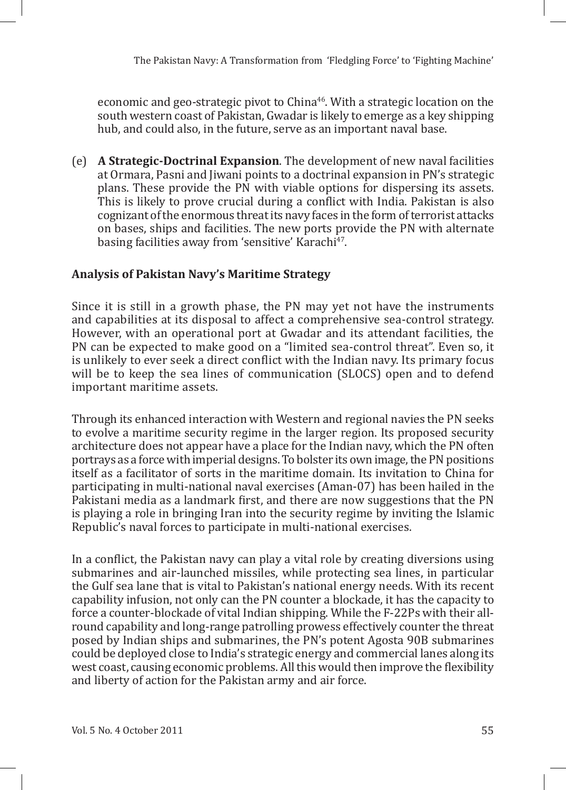economic and geo-strategic pivot to China<sup>46</sup>. With a strategic location on the south western coast of Pakistan, Gwadar is likely to emerge as a key shipping hub, and could also, in the future, serve as an important naval base.

(e) **A Strategic-Doctrinal Expansion**. The development of new naval facilities at Ormara, Pasni and Jiwani points to a doctrinal expansion in PN's strategic plans. These provide the PN with viable options for dispersing its assets. This is likely to prove crucial during a conflict with India. Pakistan is also cognizant of the enormous threat its navy faces in the form of terrorist attacks on bases, ships and facilities. The new ports provide the PN with alternate basing facilities away from 'sensitive' Karachi<sup>47</sup>.

# **Analysis of Pakistan Navy's Maritime Strategy**

Since it is still in a growth phase, the PN may yet not have the instruments and capabilities at its disposal to affect a comprehensive sea-control strategy. However, with an operational port at Gwadar and its attendant facilities, the PN can be expected to make good on a "limited sea-control threat". Even so, it is unlikely to ever seek a direct conflict with the Indian navy. Its primary focus will be to keep the sea lines of communication (SLOCS) open and to defend important maritime assets.

Through its enhanced interaction with Western and regional navies the PN seeks to evolve a maritime security regime in the larger region. Its proposed security architecture does not appear have a place for the Indian navy, which the PN often portrays as a force with imperial designs. To bolster its own image, the PN positions itself as a facilitator of sorts in the maritime domain. Its invitation to China for participating in multi-national naval exercises (Aman-07) has been hailed in the Pakistani media as a landmark first, and there are now suggestions that the PN is playing a role in bringing Iran into the security regime by inviting the Islamic Republic's naval forces to participate in multi-national exercises.

In a conflict, the Pakistan navy can play a vital role by creating diversions using submarines and air-launched missiles, while protecting sea lines, in particular the Gulf sea lane that is vital to Pakistan's national energy needs. With its recent capability infusion, not only can the PN counter a blockade, it has the capacity to force a counter-blockade of vital Indian shipping. While the F-22Ps with their allround capability and long-range patrolling prowess effectively counter the threat posed by Indian ships and submarines, the PN's potent Agosta 90B submarines could be deployed close to India's strategic energy and commercial lanes along its west coast, causing economic problems. All this would then improve the flexibility and liberty of action for the Pakistan army and air force.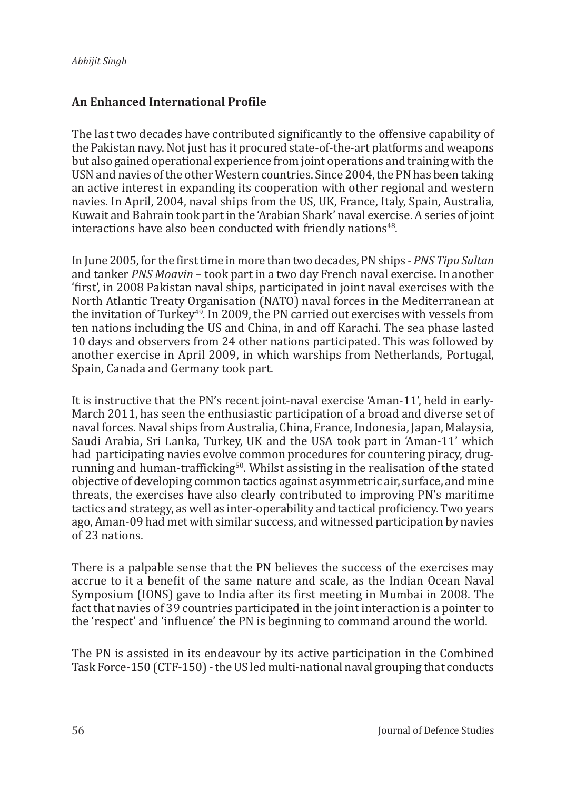## **An Enhanced International Profile**

The last two decades have contributed significantly to the offensive capability of the Pakistan navy. Not just has it procured state-of-the-art platforms and weapons but also gained operational experience from joint operations and training with the USN and navies of the other Western countries. Since 2004, the PN has been taking an active interest in expanding its cooperation with other regional and western navies. In April, 2004, naval ships from the US, UK, France, Italy, Spain, Australia, Kuwait and Bahrain took part in the 'Arabian Shark' naval exercise. A series of joint interactions have also been conducted with friendly nations<sup>48</sup>.

In June 2005, for the first time in more than two decades, PN ships - *PNS Tipu Sultan* and tanker *PNS Moavin* – took part in a two day French naval exercise. In another 'first', in 2008 Pakistan naval ships, participated in joint naval exercises with the North Atlantic Treaty Organisation (NATO) naval forces in the Mediterranean at the invitation of Turkey<sup>49</sup>*.* In 2009, the PN carried out exercises with vessels from ten nations including the US and China, in and off Karachi. The sea phase lasted 10 days and observers from 24 other nations participated. This was followed by another exercise in April 2009, in which warships from Netherlands, Portugal, Spain, Canada and Germany took part.

It is instructive that the PN's recent joint-naval exercise 'Aman-11', held in early-March 2011, has seen the enthusiastic participation of a broad and diverse set of naval forces. Naval ships from Australia, China, France, Indonesia, Japan, Malaysia, Saudi Arabia, Sri Lanka, Turkey, UK and the USA took part in 'Aman-11' which had participating navies evolve common procedures for countering piracy, drugrunning and human-trafficking<sup>50</sup>. Whilst assisting in the realisation of the stated objective of developing common tactics against asymmetric air, surface, and mine threats, the exercises have also clearly contributed to improving PN's maritime tactics and strategy, as well as inter-operability and tactical proficiency. Two years ago, Aman-09 had met with similar success, and witnessed participation by navies of 23 nations.

There is a palpable sense that the PN believes the success of the exercises may accrue to it a benefit of the same nature and scale, as the Indian Ocean Naval Symposium (IONS) gave to India after its first meeting in Mumbai in 2008. The fact that navies of 39 countries participated in the joint interaction is a pointer to the 'respect' and 'influence' the PN is beginning to command around the world.

The PN is assisted in its endeavour by its active participation in the Combined Task Force-150 (CTF-150) - the US led multi-national naval grouping that conducts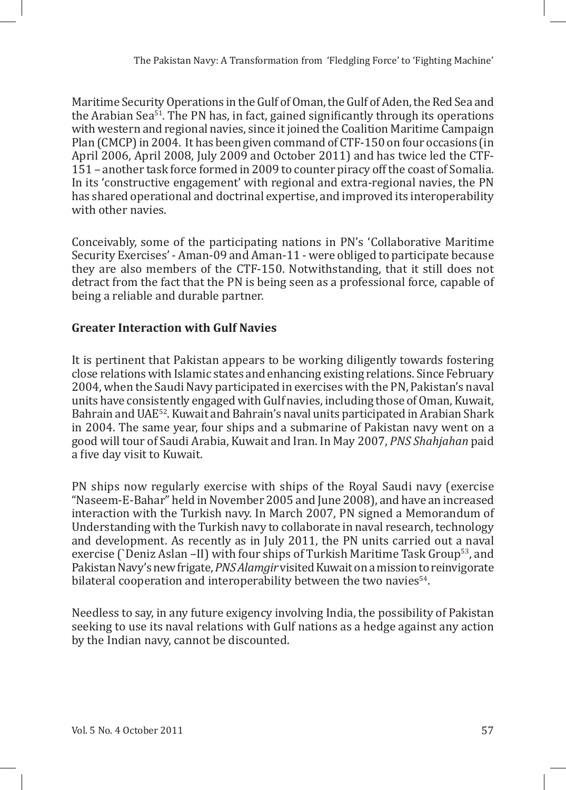Maritime Security Operations in the Gulf of Oman, the Gulf of Aden, the Red Sea and the Arabian Sea $51$ . The PN has, in fact, gained significantly through its operations with western and regional navies, since it joined the Coalition Maritime Campaign Plan (CMCP) in 2004. It has been given command of CTF-150 on four occasions (in April 2006, April 2008, July 2009 and October 2011) and has twice led the CTF-151 – another task force formed in 2009 to counter piracy off the coast of Somalia. In its 'constructive engagement' with regional and extra-regional navies, the PN has shared operational and doctrinal expertise, and improved its interoperability with other navies.

Conceivably, some of the participating nations in PN's 'Collaborative Maritime Security Exercises' - Aman-09 and Aman-11 - were obliged to participate because they are also members of the CTF-150. Notwithstanding, that it still does not detract from the fact that the PN is being seen as a professional force, capable of being a reliable and durable partner.

# **Greater Interaction with Gulf Navies**

It is pertinent that Pakistan appears to be working diligently towards fostering close relations with Islamic states and enhancing existing relations. Since February 2004, when the Saudi Navy participated in exercises with the PN, Pakistan's naval units have consistently engaged with Gulf navies, including those of Oman, Kuwait, Bahrain and UAE<sup>52</sup>. Kuwait and Bahrain's naval units participated in Arabian Shark in 2004. The same year, four ships and a submarine of Pakistan navy went on a good will tour of Saudi Arabia, Kuwait and Iran. In May 2007, *PNS Shahjahan* paid a five day visit to Kuwait.

PN ships now regularly exercise with ships of the Royal Saudi navy (exercise "Naseem-E-Bahar" held in November 2005 and June 2008), and have an increased interaction with the Turkish navy. In March 2007, PN signed a Memorandum of Understanding with the Turkish navy to collaborate in naval research, technology and development. As recently as in July 2011, the PN units carried out a naval exercise (`Deniz Aslan –II) with four ships of Turkish Maritime Task Group53, and Pakistan Navy's new frigate, *PNS Alamgir* visited Kuwait on a mission to reinvigorate bilateral cooperation and interoperability between the two navies<sup>54</sup>.

Needless to say, in any future exigency involving India, the possibility of Pakistan seeking to use its naval relations with Gulf nations as a hedge against any action by the Indian navy, cannot be discounted.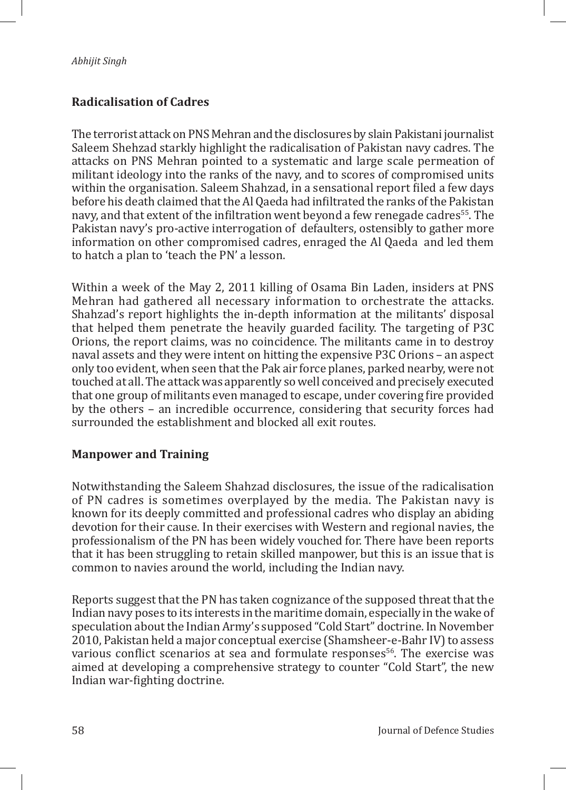## **Radicalisation of Cadres**

The terrorist attack on PNS Mehran and the disclosures by slain Pakistani journalist Saleem Shehzad starkly highlight the radicalisation of Pakistan navy cadres. The attacks on PNS Mehran pointed to a systematic and large scale permeation of militant ideology into the ranks of the navy, and to scores of compromised units within the organisation. Saleem Shahzad, in a sensational report filed a few days before his death claimed that the Al Qaeda had infiltrated the ranks of the Pakistan navy, and that extent of the infiltration went beyond a few renegade cadres<sup>55</sup>. The Pakistan navy's pro-active interrogation of defaulters, ostensibly to gather more information on other compromised cadres, enraged the Al Qaeda and led them to hatch a plan to 'teach the PN' a lesson.

Within a week of the May 2, 2011 killing of Osama Bin Laden, insiders at PNS Mehran had gathered all necessary information to orchestrate the attacks. Shahzad's report highlights the in-depth information at the militants' disposal that helped them penetrate the heavily guarded facility. The targeting of P3C Orions, the report claims, was no coincidence. The militants came in to destroy naval assets and they were intent on hitting the expensive P3C Orions – an aspect only too evident, when seen that the Pak air force planes, parked nearby, were not touched at all. The attack was apparently so well conceived and precisely executed that one group of militants even managed to escape, under covering fire provided by the others – an incredible occurrence, considering that security forces had surrounded the establishment and blocked all exit routes.

#### **Manpower and Training**

Notwithstanding the Saleem Shahzad disclosures, the issue of the radicalisation of PN cadres is sometimes overplayed by the media. The Pakistan navy is known for its deeply committed and professional cadres who display an abiding devotion for their cause. In their exercises with Western and regional navies, the professionalism of the PN has been widely vouched for. There have been reports that it has been struggling to retain skilled manpower, but this is an issue that is common to navies around the world, including the Indian navy.

Reports suggest that the PN has taken cognizance of the supposed threat that the Indian navy poses to its interests in the maritime domain, especially in the wake of speculation about the Indian Army's supposed "Cold Start" doctrine. In November 2010, Pakistan held a major conceptual exercise (Shamsheer-e-Bahr IV) to assess various conflict scenarios at sea and formulate responses<sup>56</sup>. The exercise was aimed at developing a comprehensive strategy to counter "Cold Start", the new Indian war-fighting doctrine.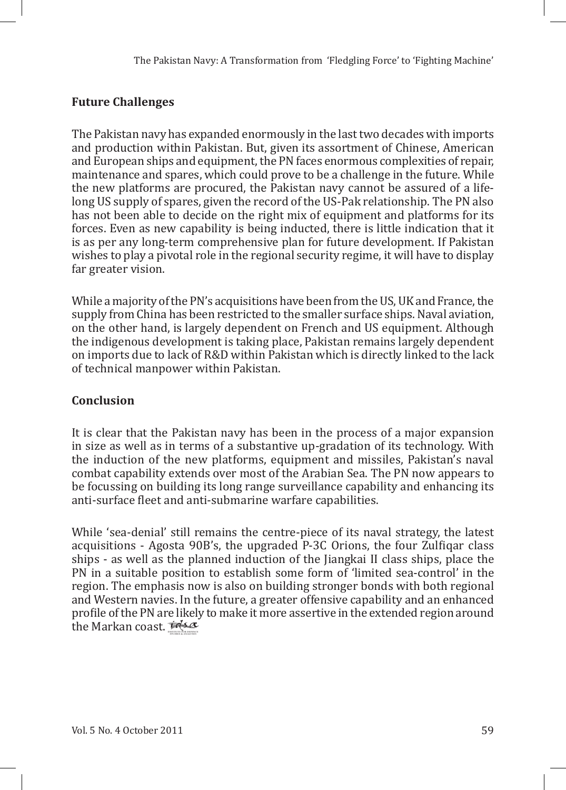# **Future Challenges**

The Pakistan navy has expanded enormously in the last two decades with imports and production within Pakistan. But, given its assortment of Chinese, American and European ships and equipment, the PN faces enormous complexities of repair, maintenance and spares, which could prove to be a challenge in the future. While the new platforms are procured, the Pakistan navy cannot be assured of a lifelong US supply of spares, given the record of the US-Pak relationship. The PN also has not been able to decide on the right mix of equipment and platforms for its forces. Even as new capability is being inducted, there is little indication that it is as per any long-term comprehensive plan for future development. If Pakistan wishes to play a pivotal role in the regional security regime, it will have to display far greater vision.

While a majority of the PN's acquisitions have been from the US, UK and France, the supply from China has been restricted to the smaller surface ships. Naval aviation, on the other hand, is largely dependent on French and US equipment. Although the indigenous development is taking place, Pakistan remains largely dependent on imports due to lack of R&D within Pakistan which is directly linked to the lack of technical manpower within Pakistan.

# **Conclusion**

It is clear that the Pakistan navy has been in the process of a major expansion in size as well as in terms of a substantive up-gradation of its technology. With the induction of the new platforms, equipment and missiles, Pakistan's naval combat capability extends over most of the Arabian Sea. The PN now appears to be focussing on building its long range surveillance capability and enhancing its anti-surface fleet and anti-submarine warfare capabilities.

While 'sea-denial' still remains the centre-piece of its naval strategy, the latest acquisitions - Agosta 90B's, the upgraded P-3C Orions, the four Zulfiqar class ships - as well as the planned induction of the Jiangkai II class ships, place the PN in a suitable position to establish some form of 'limited sea-control' in the region. The emphasis now is also on building stronger bonds with both regional and Western navies. In the future, a greater offensive capability and an enhanced profile of the PN are likely to make it more assertive in the extended region around the Markan coast. *id-sex*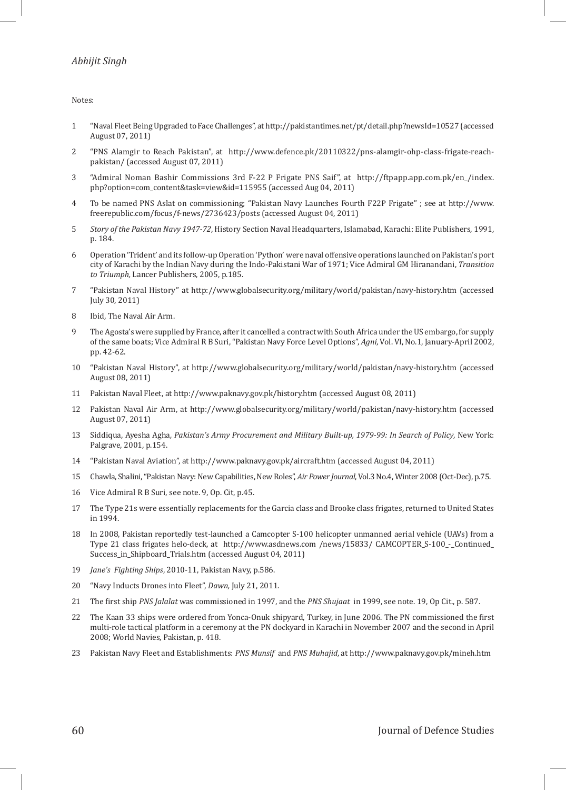Notes:

- 1 "Naval Fleet Being Upgraded to Face Challenges", at http://pakistantimes.net/pt/detail.php?newsId=10527 (accessed August 07, 2011)
- 2 "PNS Alamgir to Reach Pakistan", at http://www.defence.pk/20110322/pns-alamgir-ohp-class-frigate-reachpakistan/ (accessed August 07, 2011)
- 3 "Admiral Noman Bashir Commissions 3rd F-22 P Frigate PNS Saif", at http://ftpapp.app.com.pk/en\_/index. php?option=com\_content&task=view&id=115955 (accessed Aug 04, 2011)
- 4 To be named PNS Aslat on commissioning; "Pakistan Navy Launches Fourth F22P Frigate" ; see at http://www. freerepublic.com/focus/f-news/2736423/posts (accessed August 04, 2011)
- 5 *Story of the Pakistan Navy 1947-72*, History Section Naval Headquarters, Islamabad, Karachi: Elite Publishers, 1991, p. 184.
- 6 Operation 'Trident' and its follow-up Operation 'Python' were naval offensive operations launched on Pakistan's port city of Karachi by the Indian Navy during the Indo-Pakistani War of 1971; Vice Admiral GM Hiranandani, *Transition to Triumph,* Lancer Publishers, 2005, p.185.
- 7 "Pakistan Naval History" at http://www.globalsecurity.org/military/world/pakistan/navy-history.htm (accessed July 30, 2011)
- 8 Ibid, The Naval Air Arm.
- 9 The Agosta's were supplied by France, after it cancelled a contract with South Africa under the US embargo, for supply of the same boats; Vice Admiral R B Suri, "Pakistan Navy Force Level Options", *Agni*, Vol. VI, No.1, January-April 2002, pp. 42-62.
- 10 "Pakistan Naval History", at http://www.globalsecurity.org/military/world/pakistan/navy-history.htm (accessed August 08, 2011)
- 11 Pakistan Naval Fleet, at http://www.paknavy.gov.pk/history.htm (accessed August 08, 2011)
- 12 Pakistan Naval Air Arm, at http://www.globalsecurity.org/military/world/pakistan/navy-history.htm (accessed August 07, 2011)
- 13 Siddiqua, Ayesha Agha*, Pakistan's Army Procurement and Military Built-up, 1979-99: In Search of Policy*, New York: Palgrave, 2001, p.154.
- 14 "Pakistan Naval Aviation", at http://www.paknavy.gov.pk/aircraft.htm (accessed August 04, 2011)
- 15 Chawla, Shalini, "Pakistan Navy: New Capabilities, New Roles", *Air Power Journal*, Vol.3 No.4, Winter 2008 (Oct-Dec), p.75.
- 16 Vice Admiral R B Suri, see note. 9, Op. Cit, p.45.
- 17 The Type 21s were essentially replacements for the Garcia class and Brooke class frigates, returned to United States in 1994.
- 18 In 2008, Pakistan reportedly test-launched a Camcopter S-100 helicopter unmanned aerial vehicle (UAVs) from a Type 21 class frigates helo-deck, at http://www.asdnews.com /news/15833/ CAMCOPTER\_S-100\_-\_Continued\_ Success\_in\_Shipboard\_Trials.htm (accessed August 04, 2011)
- 19 *Jane's Fighting Ships*, 2010-11, Pakistan Navy, p.586.
- 20 "Navy Inducts Drones into Fleet", *Dawn,* July 21, 2011.
- 21 The first ship *PNS Jalalat* was commissioned in 1997, and the *PNS Shujaat* in 1999, see note. 19, Op Cit., p. 587.
- 22 The Kaan 33 ships were ordered from Yonca-Onuk shipyard, Turkey, in June 2006. The PN commissioned the first multi-role tactical platform in a ceremony at the PN dockyard in Karachi in November 2007 and the second in April 2008; World Navies, Pakistan, p. 418.
- 23 Pakistan Navy Fleet and Establishments: *PNS Munsif* and *PNS Muhajid*, at http://www.paknavy.gov.pk/mineh.htm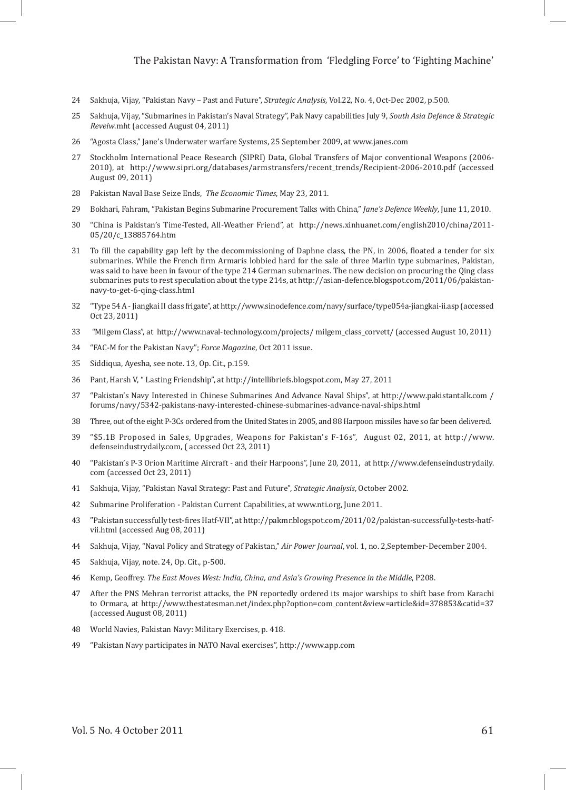- 24 Sakhuja, Vijay, "Pakistan Navy Past and Future", *Strategic Analysis*, Vol.22, No. 4, Oct-Dec 2002, p.500.
- 25 Sakhuja, Vijay, "Submarines in Pakistan's Naval Strategy", Pak Navy capabilities July 9, *South Asia Defence & Strategic Reveiw*.mht (accessed August 04, 2011)
- 26 "Agosta Class," Jane's Underwater warfare Systems, 25 September 2009, at www.janes.com
- 27 Stockholm International Peace Research (SIPRI) Data, Global Transfers of Major conventional Weapons (2006- 2010), at http://www.sipri.org/databases/armstransfers/recent\_trends/Recipient-2006-2010.pdf (accessed August 09, 2011)
- 28 Pakistan Naval Base Seize Ends, *The Economic Times*, May 23, 2011.
- 29 Bokhari, Fahram, "Pakistan Begins Submarine Procurement Talks with China," *Jane's Defence Weekly*, June 11, 2010.
- 30 "China is Pakistan's Time-Tested, All-Weather Friend", at http://news.xinhuanet.com/english2010/china/2011- 05/20/c\_13885764.htm
- 31 To fill the capability gap left by the decommissioning of Daphne class, the PN, in 2006, floated a tender for six submarines. While the French firm Armaris lobbied hard for the sale of three Marlin type submarines, Pakistan, was said to have been in favour of the type 214 German submarines. The new decision on procuring the Qing class submarines puts to rest speculation about the type 214s, at http://asian-defence.blogspot.com/2011/06/pakistannavy-to-get-6-qing-class.html
- 32 "Type 54 A Jiangkai II class frigate", at http://www.sinodefence.com/navy/surface/type054a-jiangkai-ii.asp (accessed Oct 23, 2011)
- 33 "Milgem Class", at http://www.naval-technology.com/projects/ milgem\_class\_corvett/ (accessed August 10, 2011)
- 34 "FAC-M for the Pakistan Navy"; *Force Magazine*, Oct 2011 issue.
- 35 Siddiqua, Ayesha, see note. 13, Op. Cit., p.159.
- 36 Pant, Harsh V, " Lasting Friendship", at http://intellibriefs.blogspot.com, May 27, 2011
- 37 "Pakistan's Navy Interested in Chinese Submarines And Advance Naval Ships", at http://www.pakistantalk.com / forums/navy/5342-pakistans-navy-interested-chinese-submarines-advance-naval-ships.html
- 38 Three, out of the eight P-3Cs ordered from the United States in 2005, and 88 Harpoon missiles have so far been delivered.
- 39 "\$5.1B Proposed in Sales, Upgrades, Weapons for Pakistan's F-16s", August 02, 2011, at http://www. defenseindustrydaily.com, ( accessed Oct 23, 2011)
- 40 "Pakistan's P-3 Orion Maritime Aircraft and their Harpoons", June 20, 2011, at http://www.defenseindustrydaily. com (accessed Oct 23, 2011)
- 41 Sakhuja, Vijay, "Pakistan Naval Strategy: Past and Future", *Strategic Analysis*, October 2002.
- 42 Submarine Proliferation Pakistan Current Capabilities, at www.nti.org, June 2011.
- 43 "Pakistan successfully test-fires Hatf-VII", at http://pakmr.blogspot.com/2011/02/pakistan-successfully-tests-hatfvii.html (accessed Aug 08, 2011)
- 44 Sakhuja, Vijay, "Naval Policy and Strategy of Pakistan," *Air Power Journal*, vol. 1, no. 2,September-December 2004.
- 45 Sakhuja, Vijay, note. 24, Op. Cit., p-500.
- 46 Kemp*,* Geoffrey. *The East Moves West: India, China, and Asia's Growing Presence in the Middle*, P208.
- 47 After the PNS Mehran terrorist attacks, the PN reportedly ordered its major warships to shift base from Karachi to Ormara, at http://www.thestatesman.net/index.php?option=com\_content&view=article&id=378853&catid=37 (accessed August 08, 2011)
- 48 World Navies, Pakistan Navy: Military Exercises, p. 418.
- 49 "Pakistan Navy participates in NATO Naval exercises", http://www.app.com